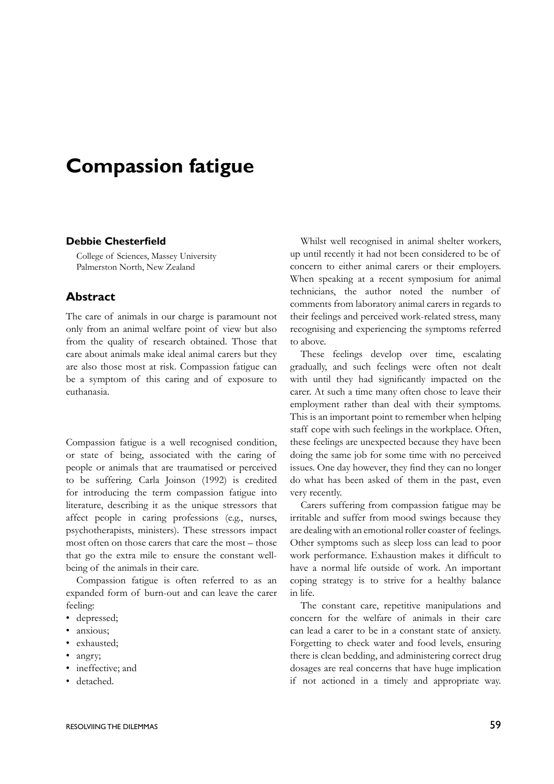## **Compassion fatigue**

## **Debbie Chesterfield**

College of Sciences, Massey University Palmerston North, New Zealand

## **Abstract**

The care of animals in our charge is paramount not only from an animal welfare point of view but also from the quality of research obtained. Those that care about animals make ideal animal carers but they are also those most at risk. Compassion fatigue can be a symptom of this caring and of exposure to euthanasia.

Compassion fatigue is a well recognised condition, or state of being, associated with the caring of people or animals that are traumatised or perceived to be suffering. Carla Joinson (1992) is credited for introducing the term compassion fatigue into literature, describing it as the unique stressors that affect people in caring professions (e.g., nurses, psychotherapists, ministers). These stressors impact most often on those carers that care the most – those that go the extra mile to ensure the constant wellbeing of the animals in their care.

Compassion fatigue is often referred to as an expanded form of burn-out and can leave the carer feeling:

- depressed;
- anxious:
- exhausted;
- angry;
- ineffective; and
- detached.

Whilst well recognised in animal shelter workers, up until recently it had not been considered to be of concern to either animal carers or their employers. When speaking at a recent symposium for animal technicians, the author noted the number of comments from laboratory animal carers in regards to their feelings and perceived work-related stress, many recognising and experiencing the symptoms referred to above.

These feelings develop over time, escalating gradually, and such feelings were often not dealt with until they had significantly impacted on the carer. At such a time many often chose to leave their employment rather than deal with their symptoms. This is an important point to remember when helping staff cope with such feelings in the workplace. Often, these feelings are unexpected because they have been doing the same job for some time with no perceived issues. One day however, they find they can no longer do what has been asked of them in the past, even very recently.

Carers suffering from compassion fatigue may be irritable and suffer from mood swings because they are dealing with an emotional roller coaster of feelings. Other symptoms such as sleep loss can lead to poor work performance. Exhaustion makes it difficult to have a normal life outside of work. An important coping strategy is to strive for a healthy balance in life.

The constant care, repetitive manipulations and concern for the welfare of animals in their care can lead a carer to be in a constant state of anxiety. Forgetting to check water and food levels, ensuring there is clean bedding, and administering correct drug dosages are real concerns that have huge implication if not actioned in a timely and appropriate way.